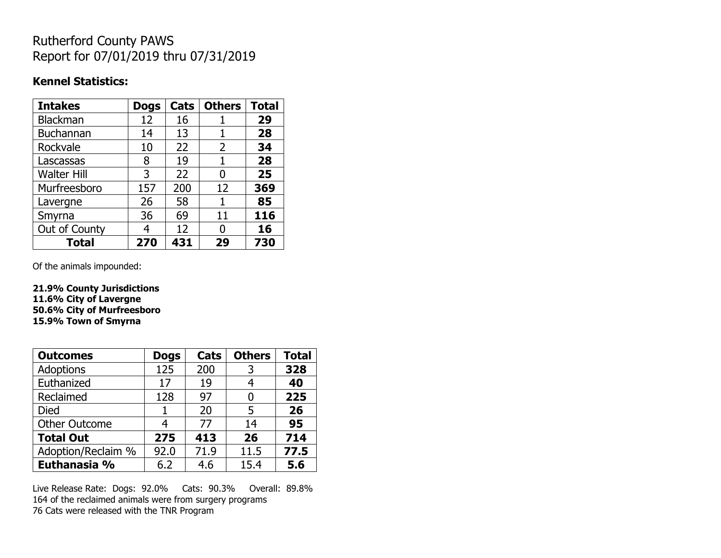## Rutherford County PAWS Report for 07/01/2019 thru 07/31/2019

## **Kennel Statistics:**

| <b>Intakes</b>     | <b>Dogs</b> | Cats | <b>Others</b> | <b>Total</b> |
|--------------------|-------------|------|---------------|--------------|
| Blackman           | 12          | 16   |               | 29           |
| <b>Buchannan</b>   | 14          | 13   |               | 28           |
| Rockvale           | 10          | 22   | 2             | 34           |
| Lascassas          | 8           | 19   | 1             | 28           |
| <b>Walter Hill</b> | 3           | 22   | 0             | 25           |
| Murfreesboro       | 157         | 200  | 12            | 369          |
| Lavergne           | 26          | 58   | 1             | 85           |
| Smyrna             | 36          | 69   | 11            | 116          |
| Out of County      | 4           | 12   | N             | 16           |
| <b>Total</b>       | 270         | 431  | 29            | 730          |

Of the animals impounded:

**21.9% County Jurisdictions 11.6% City of Lavergne 50.6% City of Murfreesboro 15.9% Town of Smyrna**

| <b>Outcomes</b>      | <b>Dogs</b> | Cats | <b>Others</b> | <b>Total</b> |
|----------------------|-------------|------|---------------|--------------|
| <b>Adoptions</b>     | 125         | 200  | 3             | 328          |
| Euthanized           | 17          | 19   | 4             | 40           |
| Reclaimed            | 128         | 97   | 0             | 225          |
| Died                 | 1           | 20   | 5             | 26           |
| <b>Other Outcome</b> | 4           | 77   | 14            | 95           |
| <b>Total Out</b>     | 275         | 413  | 26            | 714          |
| Adoption/Reclaim %   | 92.0        | 71.9 | 11.5          | 77.5         |
| Euthanasia %         | 6.2         | 4.6  | 15.4          | 5.6          |

Live Release Rate: Dogs: 92.0% Cats: 90.3% Overall: 89.8% 164 of the reclaimed animals were from surgery programs 76 Cats were released with the TNR Program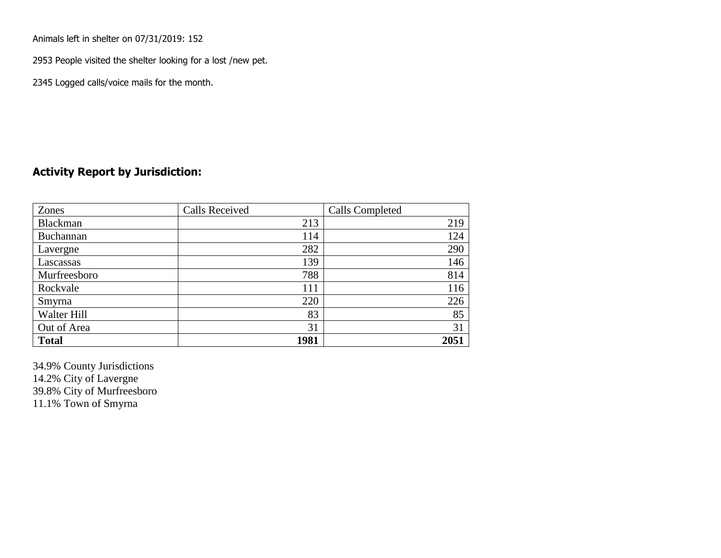Animals left in shelter on 07/31/2019: 152

2953 People visited the shelter looking for a lost /new pet.

2345 Logged calls/voice mails for the month.

## **Activity Report by Jurisdiction:**

| Zones        | <b>Calls Received</b> | Calls Completed |
|--------------|-----------------------|-----------------|
| Blackman     | 213                   | 219             |
| Buchannan    | 114                   | 124             |
| Lavergne     | 282                   | 290             |
| Lascassas    | 139                   | 146             |
| Murfreesboro | 788                   | 814             |
| Rockvale     | 111                   | 116             |
| Smyrna       | 220                   | 226             |
| Walter Hill  | 83                    | 85              |
| Out of Area  | 31                    | 31              |
| <b>Total</b> | 1981                  | 2051            |

34.9% County Jurisdictions 14.2% City of Lavergne 39.8% City of Murfreesboro 11.1% Town of Smyrna